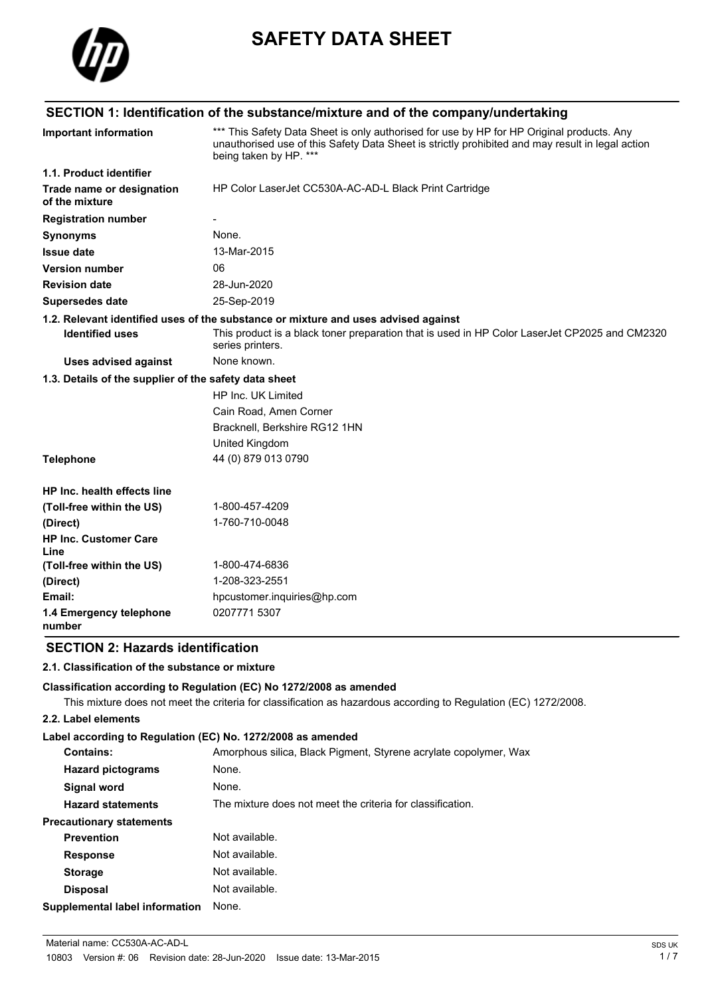

# **SAFETY DATA SHEET**

## **SECTION 1: Identification of the substance/mixture and of the company/undertaking**

| <b>Important information</b>                          | *** This Safety Data Sheet is only authorised for use by HP for HP Original products. Any<br>unauthorised use of this Safety Data Sheet is strictly prohibited and may result in legal action<br>being taken by HP. *** |  |
|-------------------------------------------------------|-------------------------------------------------------------------------------------------------------------------------------------------------------------------------------------------------------------------------|--|
| 1.1. Product identifier                               |                                                                                                                                                                                                                         |  |
| Trade name or designation<br>of the mixture           | HP Color LaserJet CC530A-AC-AD-L Black Print Cartridge                                                                                                                                                                  |  |
| <b>Registration number</b>                            |                                                                                                                                                                                                                         |  |
| <b>Synonyms</b>                                       | None.                                                                                                                                                                                                                   |  |
| <b>Issue date</b>                                     | 13-Mar-2015                                                                                                                                                                                                             |  |
| <b>Version number</b>                                 | 06                                                                                                                                                                                                                      |  |
| <b>Revision date</b>                                  | 28-Jun-2020                                                                                                                                                                                                             |  |
| <b>Supersedes date</b>                                | 25-Sep-2019                                                                                                                                                                                                             |  |
|                                                       | 1.2. Relevant identified uses of the substance or mixture and uses advised against                                                                                                                                      |  |
| <b>Identified uses</b>                                | This product is a black toner preparation that is used in HP Color LaserJet CP2025 and CM2320<br>series printers.                                                                                                       |  |
| <b>Uses advised against</b>                           | None known.                                                                                                                                                                                                             |  |
| 1.3. Details of the supplier of the safety data sheet |                                                                                                                                                                                                                         |  |
|                                                       | HP Inc. UK Limited                                                                                                                                                                                                      |  |
|                                                       | Cain Road, Amen Corner                                                                                                                                                                                                  |  |
|                                                       | Bracknell, Berkshire RG12 1HN                                                                                                                                                                                           |  |
|                                                       | United Kingdom                                                                                                                                                                                                          |  |
| <b>Telephone</b>                                      | 44 (0) 879 013 0790                                                                                                                                                                                                     |  |
| <b>HP Inc. health effects line</b>                    |                                                                                                                                                                                                                         |  |
| (Toll-free within the US)                             | 1-800-457-4209                                                                                                                                                                                                          |  |
| (Direct)                                              | 1-760-710-0048                                                                                                                                                                                                          |  |
| <b>HP Inc. Customer Care</b><br>Line                  |                                                                                                                                                                                                                         |  |
| (Toll-free within the US)                             | 1-800-474-6836                                                                                                                                                                                                          |  |
| (Direct)                                              | 1-208-323-2551                                                                                                                                                                                                          |  |
| Email:                                                | hpcustomer.inquiries@hp.com                                                                                                                                                                                             |  |
| 1.4 Emergency telephone<br>number                     | 0207771 5307                                                                                                                                                                                                            |  |

## **SECTION 2: Hazards identification**

#### **2.1. Classification of the substance or mixture**

#### **Classification according to Regulation (EC) No 1272/2008 as amended**

This mixture does not meet the criteria for classification as hazardous according to Regulation (EC) 1272/2008.

#### **2.2. Label elements**

#### **Label according to Regulation (EC) No. 1272/2008 as amended**

| <b>Contains:</b>                | Amorphous silica, Black Pigment, Styrene acrylate copolymer, Wax |
|---------------------------------|------------------------------------------------------------------|
| <b>Hazard pictograms</b>        | None.                                                            |
| Signal word                     | None.                                                            |
| <b>Hazard statements</b>        | The mixture does not meet the criteria for classification.       |
| <b>Precautionary statements</b> |                                                                  |
| <b>Prevention</b>               | Not available.                                                   |
| <b>Response</b>                 | Not available.                                                   |
| <b>Storage</b>                  | Not available.                                                   |
| <b>Disposal</b>                 | Not available.                                                   |
| Supplemental label information  | None.                                                            |
|                                 |                                                                  |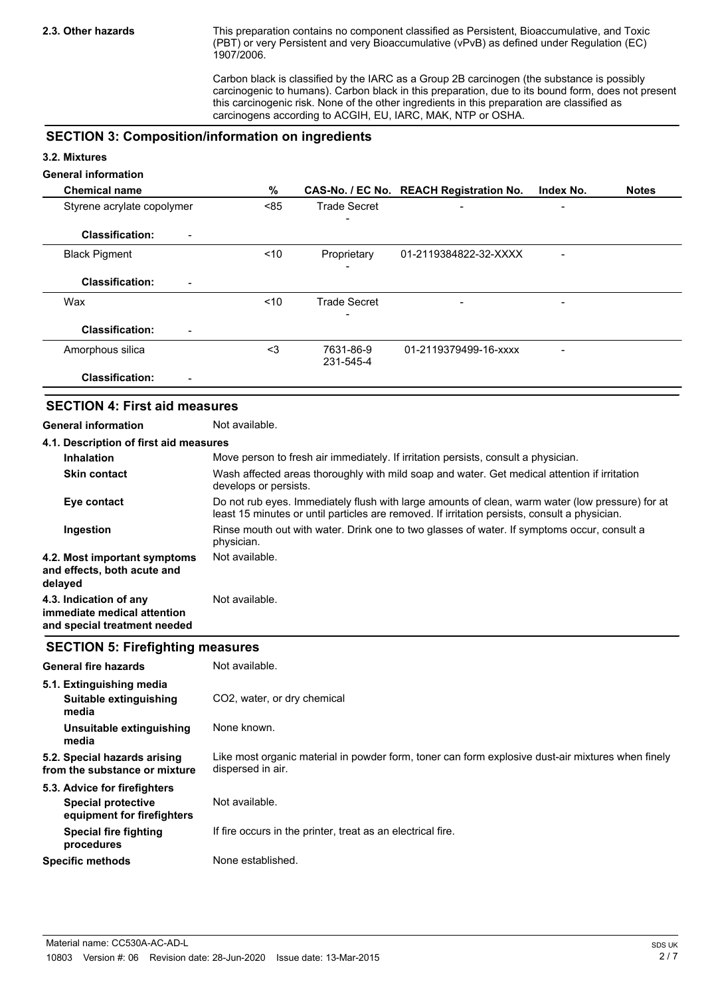This preparation contains no component classified as Persistent, Bioaccumulative, and Toxic (PBT) or very Persistent and very Bioaccumulative (vPvB) as defined under Regulation (EC) 1907/2006.

Carbon black is classified by the IARC as a Group 2B carcinogen (the substance is possibly carcinogenic to humans). Carbon black in this preparation, due to its bound form, does not present this carcinogenic risk. None of the other ingredients in this preparation are classified as carcinogens according to ACGIH, EU, IARC, MAK, NTP or OSHA.

#### **SECTION 3: Composition/information on ingredients**

#### **3.2. Mixtures**

### **General information**

| <b>Chemical name</b>                     | %      |                        | CAS-No. / EC No. REACH Registration No. | Index No. | <b>Notes</b> |
|------------------------------------------|--------|------------------------|-----------------------------------------|-----------|--------------|
| Styrene acrylate copolymer               | < 85   | <b>Trade Secret</b>    | $\overline{\phantom{0}}$                |           |              |
| <b>Classification:</b><br>-              |        |                        |                                         |           |              |
| <b>Black Pigment</b>                     | ~10    | Proprietary            | 01-2119384822-32-XXXX                   |           |              |
| <b>Classification:</b><br>$\blacksquare$ |        |                        |                                         |           |              |
| Wax                                      | $<$ 10 | <b>Trade Secret</b>    | $\qquad \qquad$                         |           |              |
|                                          |        |                        |                                         |           |              |
| <b>Classification:</b>                   |        |                        |                                         |           |              |
| Amorphous silica                         | $3$    | 7631-86-9<br>231-545-4 | 01-2119379499-16-xxxx                   | -         |              |
| <b>Classification:</b><br>-              |        |                        |                                         |           |              |

#### **SECTION 4: First aid measures**

**General information** Not available.

| 4.1. Description of first aid measures                                                |                                                                                                                                                                                                   |  |
|---------------------------------------------------------------------------------------|---------------------------------------------------------------------------------------------------------------------------------------------------------------------------------------------------|--|
| <b>Inhalation</b>                                                                     | Move person to fresh air immediately. If irritation persists, consult a physician.                                                                                                                |  |
| <b>Skin contact</b>                                                                   | Wash affected areas thoroughly with mild soap and water. Get medical attention if irritation<br>develops or persists.                                                                             |  |
| Eye contact                                                                           | Do not rub eyes. Immediately flush with large amounts of clean, warm water (low pressure) for at<br>least 15 minutes or until particles are removed. If irritation persists, consult a physician. |  |
| Ingestion                                                                             | Rinse mouth out with water. Drink one to two glasses of water. If symptoms occur, consult a<br>physician.                                                                                         |  |
| 4.2. Most important symptoms<br>and effects, both acute and<br>delayed                | Not available.                                                                                                                                                                                    |  |
| 4.3. Indication of any<br>immediate medical attention<br>and special treatment needed | Not available.                                                                                                                                                                                    |  |

#### **SECTION 5: Firefighting measures**

| <b>General fire hazards</b>                                   | Not available.                                                                                                         |
|---------------------------------------------------------------|------------------------------------------------------------------------------------------------------------------------|
| 5.1. Extinguishing media                                      |                                                                                                                        |
| Suitable extinguishing<br>media                               | CO <sub>2</sub> , water, or dry chemical                                                                               |
| Unsuitable extinguishing<br>media                             | None known.                                                                                                            |
| 5.2. Special hazards arising<br>from the substance or mixture | Like most organic material in powder form, toner can form explosive dust-air mixtures when finely<br>dispersed in air. |
| 5.3. Advice for firefighters                                  |                                                                                                                        |
| Special protective<br>equipment for firefighters              | Not available.                                                                                                         |
| Special fire fighting<br>procedures                           | If fire occurs in the printer, treat as an electrical fire.                                                            |
| <b>Specific methods</b>                                       | None established.                                                                                                      |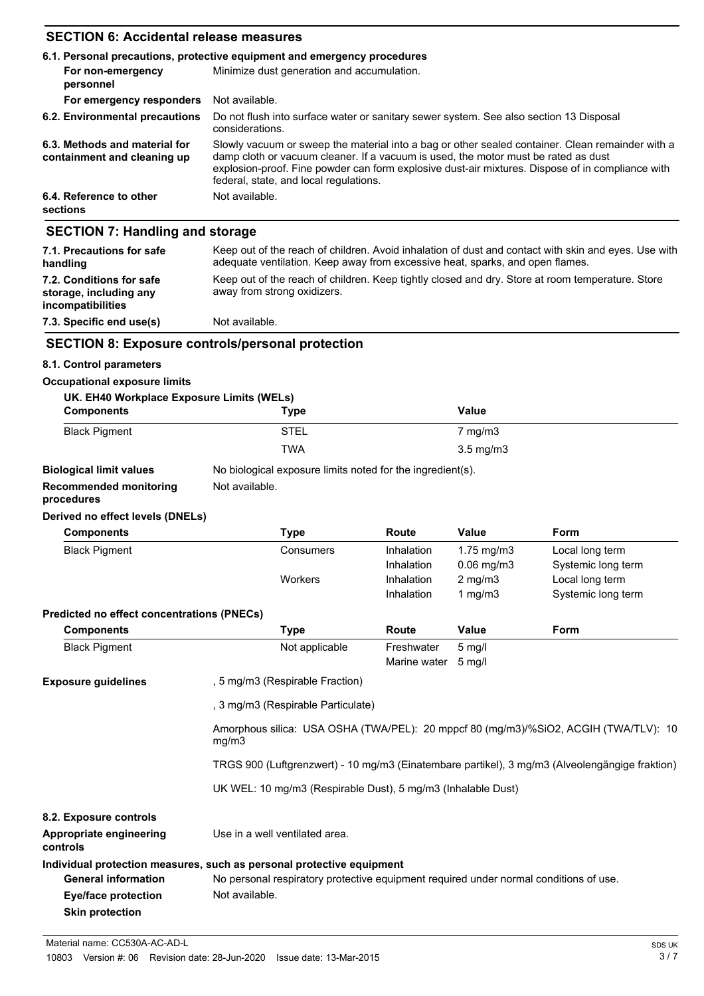## **SECTION 6: Accidental release measures**

|                                                              | 6.1. Personal precautions, protective equipment and emergency procedures                                                                                                                                                                                                                                                             |  |  |
|--------------------------------------------------------------|--------------------------------------------------------------------------------------------------------------------------------------------------------------------------------------------------------------------------------------------------------------------------------------------------------------------------------------|--|--|
| For non-emergency<br>personnel                               | Minimize dust generation and accumulation.                                                                                                                                                                                                                                                                                           |  |  |
| For emergency responders                                     | Not available.                                                                                                                                                                                                                                                                                                                       |  |  |
| 6.2. Environmental precautions                               | Do not flush into surface water or sanitary sewer system. See also section 13 Disposal<br>considerations.                                                                                                                                                                                                                            |  |  |
| 6.3. Methods and material for<br>containment and cleaning up | Slowly vacuum or sweep the material into a bag or other sealed container. Clean remainder with a<br>damp cloth or vacuum cleaner. If a vacuum is used, the motor must be rated as dust<br>explosion-proof. Fine powder can form explosive dust-air mixtures. Dispose of in compliance with<br>federal, state, and local regulations. |  |  |
| 6.4. Reference to other<br>sections                          | Not available.                                                                                                                                                                                                                                                                                                                       |  |  |
| <b>SECTION 7: Handling and storage</b>                       |                                                                                                                                                                                                                                                                                                                                      |  |  |
| 7.1. Precautions for safe<br>handling                        | Keep out of the reach of children. Avoid inhalation of dust and contact with skin and eyes. Use with<br>adequate ventilation. Keep away from excessive heat, sparks, and open flames.                                                                                                                                                |  |  |

| handling                                                                       | adequate ventilation. Keep away from excessive heat, sparks, and open flames.                                                   |
|--------------------------------------------------------------------------------|---------------------------------------------------------------------------------------------------------------------------------|
| 7.2. Conditions for safe<br>storage, including any<br><b>incompatibilities</b> | Keep out of the reach of children. Keep tightly closed and dry. Store at room temperature. Store<br>away from strong oxidizers. |

## **7.3. Specific end use(s)** Not available.

#### **SECTION 8: Exposure controls/personal protection**

#### **8.1. Control parameters**

#### **Occupational exposure limits**

| UK. EH40 Workplace Exposure Limits (WELs) |             |                    |  |
|-------------------------------------------|-------------|--------------------|--|
| <b>Components</b>                         | <b>Type</b> | Value              |  |
| <b>Black Pigment</b>                      | <b>STEL</b> | $7 \text{ mg/m}$ 3 |  |
|                                           | <b>TWA</b>  | $3.5 \text{ mg/m}$ |  |
|                                           |             |                    |  |

## **Biological limit values** No biological exposure limits noted for the ingredient(s).

**Skin protection**

**Recommended monitoring** Not available.

## **procedures**

#### **Derived no effect levels (DNELs)**

| <b>Components</b>                                 | <b>Type</b>                                                                           | <b>Route</b>                                                                                   | Value            | <b>Form</b>        |  |  |
|---------------------------------------------------|---------------------------------------------------------------------------------------|------------------------------------------------------------------------------------------------|------------------|--------------------|--|--|
| <b>Black Pigment</b>                              | Consumers                                                                             | Inhalation                                                                                     | 1.75 mg/m3       | Local long term    |  |  |
|                                                   |                                                                                       | Inhalation                                                                                     | $0.06$ mg/m $3$  | Systemic long term |  |  |
|                                                   | Workers                                                                               | Inhalation                                                                                     | $2$ mg/m $3$     | Local long term    |  |  |
|                                                   |                                                                                       | Inhalation                                                                                     | 1 mg/m $3$       | Systemic long term |  |  |
| <b>Predicted no effect concentrations (PNECs)</b> |                                                                                       |                                                                                                |                  |                    |  |  |
| <b>Components</b>                                 | <b>Type</b>                                                                           | <b>Route</b>                                                                                   | Value            | <b>Form</b>        |  |  |
| <b>Black Pigment</b>                              | Not applicable                                                                        | Freshwater                                                                                     | $5 \text{ mg/l}$ |                    |  |  |
|                                                   |                                                                                       | Marine water                                                                                   | $5 \text{ mq/l}$ |                    |  |  |
| <b>Exposure guidelines</b>                        | , 5 mg/m3 (Respirable Fraction)                                                       |                                                                                                |                  |                    |  |  |
|                                                   |                                                                                       | , 3 mg/m3 (Respirable Particulate)                                                             |                  |                    |  |  |
|                                                   | mg/m3                                                                                 | Amorphous silica: USA OSHA (TWA/PEL): 20 mppcf 80 (mg/m3)/%SiO2, ACGIH (TWA/TLV): 10           |                  |                    |  |  |
|                                                   |                                                                                       | TRGS 900 (Luftgrenzwert) - 10 mg/m3 (Einatembare partikel), 3 mg/m3 (Alveolengängige fraktion) |                  |                    |  |  |
|                                                   |                                                                                       | UK WEL: 10 mg/m3 (Respirable Dust), 5 mg/m3 (Inhalable Dust)                                   |                  |                    |  |  |
| 8.2. Exposure controls                            |                                                                                       |                                                                                                |                  |                    |  |  |
| Appropriate engineering<br>controls               | Use in a well ventilated area.                                                        |                                                                                                |                  |                    |  |  |
|                                                   | Individual protection measures, such as personal protective equipment                 |                                                                                                |                  |                    |  |  |
| <b>General information</b>                        | No personal respiratory protective equipment required under normal conditions of use. |                                                                                                |                  |                    |  |  |
| Eye/face protection                               | Not available.                                                                        |                                                                                                |                  |                    |  |  |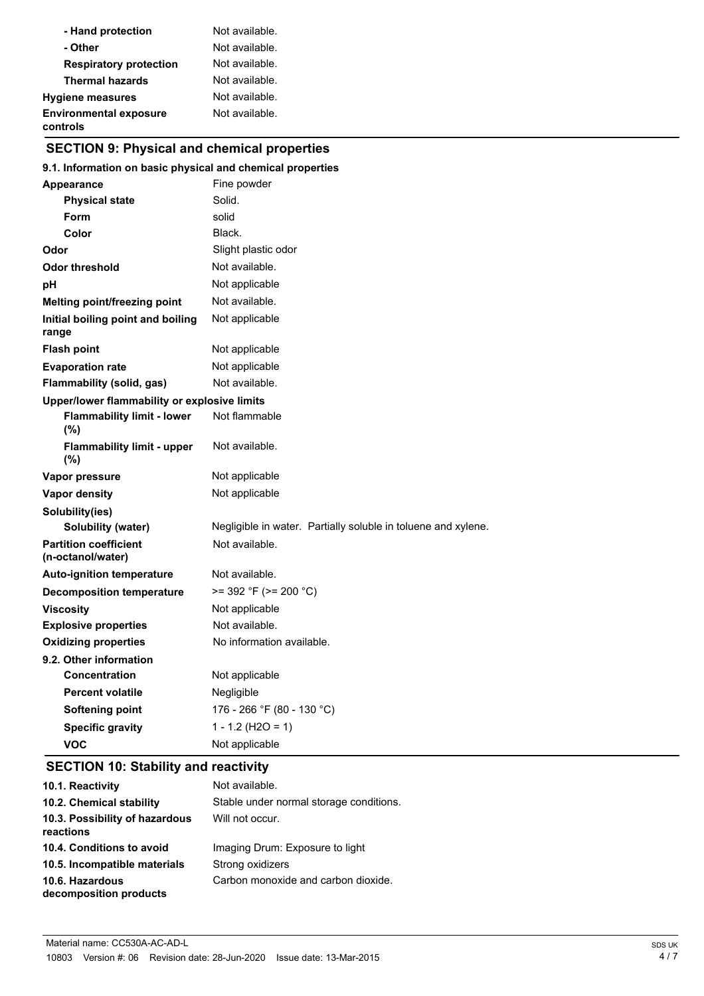| - Hand protection                         | Not available. |
|-------------------------------------------|----------------|
| - Other                                   | Not available. |
| <b>Respiratory protection</b>             | Not available. |
| <b>Thermal hazards</b>                    | Not available. |
| <b>Hygiene measures</b>                   | Not available. |
| <b>Environmental exposure</b><br>controls | Not available. |

## **SECTION 9: Physical and chemical properties**

#### **9.1. Information on basic physical and chemical properties**

| <b>Appearance</b>                                 | Fine powder                                                   |  |
|---------------------------------------------------|---------------------------------------------------------------|--|
| <b>Physical state</b>                             | Solid.                                                        |  |
| <b>Form</b>                                       | solid                                                         |  |
| Color                                             | Black.                                                        |  |
| Odor                                              | Slight plastic odor                                           |  |
| <b>Odor threshold</b>                             | Not available.                                                |  |
| рH                                                | Not applicable                                                |  |
| Melting point/freezing point                      | Not available.                                                |  |
| Initial boiling point and boiling<br>range        | Not applicable                                                |  |
| <b>Flash point</b>                                | Not applicable                                                |  |
| <b>Evaporation rate</b>                           | Not applicable                                                |  |
| Flammability (solid, gas)                         | Not available.                                                |  |
| Upper/lower flammability or explosive limits      |                                                               |  |
| <b>Flammability limit - lower</b><br>(%)          | Not flammable                                                 |  |
| <b>Flammability limit - upper</b><br>(%)          | Not available.                                                |  |
| Vapor pressure                                    | Not applicable                                                |  |
| <b>Vapor density</b>                              | Not applicable                                                |  |
| Solubility(ies)                                   |                                                               |  |
| <b>Solubility (water)</b>                         | Negligible in water. Partially soluble in toluene and xylene. |  |
| <b>Partition coefficient</b><br>(n-octanol/water) | Not available.                                                |  |
| <b>Auto-ignition temperature</b>                  | Not available.                                                |  |
| <b>Decomposition temperature</b>                  | $>= 392$ °F ( $>= 200$ °C)                                    |  |
| <b>Viscosity</b>                                  | Not applicable                                                |  |
| <b>Explosive properties</b>                       | Not available.                                                |  |
| <b>Oxidizing properties</b>                       | No information available.                                     |  |
| 9.2. Other information                            |                                                               |  |
| <b>Concentration</b>                              | Not applicable                                                |  |
| <b>Percent volatile</b>                           | Negligible                                                    |  |
| <b>Softening point</b>                            | 176 - 266 °F (80 - 130 °C)                                    |  |
| <b>Specific gravity</b>                           | $1 - 1.2$ (H2O = 1)                                           |  |
| VOC                                               | Not applicable                                                |  |

## **SECTION 10: Stability and reactivity**

| 10.1. Reactivity                            | Not available.                          |
|---------------------------------------------|-----------------------------------------|
| 10.2. Chemical stability                    | Stable under normal storage conditions. |
| 10.3. Possibility of hazardous<br>reactions | Will not occur.                         |
| 10.4. Conditions to avoid                   | Imaging Drum: Exposure to light         |
| 10.5. Incompatible materials                | Strong oxidizers                        |
| 10.6. Hazardous<br>decomposition products   | Carbon monoxide and carbon dioxide.     |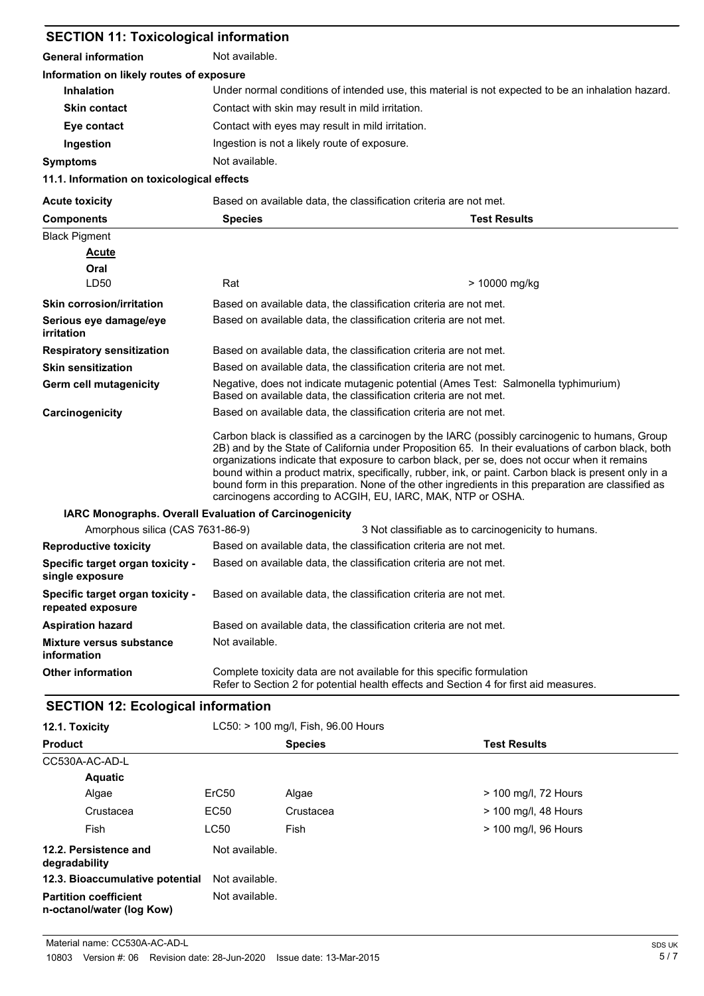| <b>SECTION 11: Toxicological information</b>           |                                                                                                                                                                                                                                                                                                                                                                                                                                                                                                                                                                                      |                                                     |
|--------------------------------------------------------|--------------------------------------------------------------------------------------------------------------------------------------------------------------------------------------------------------------------------------------------------------------------------------------------------------------------------------------------------------------------------------------------------------------------------------------------------------------------------------------------------------------------------------------------------------------------------------------|-----------------------------------------------------|
| <b>General information</b>                             | Not available.                                                                                                                                                                                                                                                                                                                                                                                                                                                                                                                                                                       |                                                     |
| Information on likely routes of exposure               |                                                                                                                                                                                                                                                                                                                                                                                                                                                                                                                                                                                      |                                                     |
| <b>Inhalation</b>                                      | Under normal conditions of intended use, this material is not expected to be an inhalation hazard.                                                                                                                                                                                                                                                                                                                                                                                                                                                                                   |                                                     |
| <b>Skin contact</b>                                    | Contact with skin may result in mild irritation.                                                                                                                                                                                                                                                                                                                                                                                                                                                                                                                                     |                                                     |
| Eye contact                                            | Contact with eyes may result in mild irritation.                                                                                                                                                                                                                                                                                                                                                                                                                                                                                                                                     |                                                     |
| Ingestion                                              | Ingestion is not a likely route of exposure.                                                                                                                                                                                                                                                                                                                                                                                                                                                                                                                                         |                                                     |
| <b>Symptoms</b>                                        | Not available.                                                                                                                                                                                                                                                                                                                                                                                                                                                                                                                                                                       |                                                     |
| 11.1. Information on toxicological effects             |                                                                                                                                                                                                                                                                                                                                                                                                                                                                                                                                                                                      |                                                     |
| <b>Acute toxicity</b>                                  | Based on available data, the classification criteria are not met.                                                                                                                                                                                                                                                                                                                                                                                                                                                                                                                    |                                                     |
| <b>Components</b>                                      | <b>Species</b>                                                                                                                                                                                                                                                                                                                                                                                                                                                                                                                                                                       | <b>Test Results</b>                                 |
| <b>Black Pigment</b>                                   |                                                                                                                                                                                                                                                                                                                                                                                                                                                                                                                                                                                      |                                                     |
| <b>Acute</b>                                           |                                                                                                                                                                                                                                                                                                                                                                                                                                                                                                                                                                                      |                                                     |
| Oral                                                   |                                                                                                                                                                                                                                                                                                                                                                                                                                                                                                                                                                                      |                                                     |
| LD50                                                   | Rat                                                                                                                                                                                                                                                                                                                                                                                                                                                                                                                                                                                  | > 10000 mg/kg                                       |
| <b>Skin corrosion/irritation</b>                       | Based on available data, the classification criteria are not met.                                                                                                                                                                                                                                                                                                                                                                                                                                                                                                                    |                                                     |
| Serious eye damage/eye<br><i>irritation</i>            | Based on available data, the classification criteria are not met.                                                                                                                                                                                                                                                                                                                                                                                                                                                                                                                    |                                                     |
| <b>Respiratory sensitization</b>                       | Based on available data, the classification criteria are not met.                                                                                                                                                                                                                                                                                                                                                                                                                                                                                                                    |                                                     |
| <b>Skin sensitization</b>                              | Based on available data, the classification criteria are not met.                                                                                                                                                                                                                                                                                                                                                                                                                                                                                                                    |                                                     |
| Germ cell mutagenicity                                 | Negative, does not indicate mutagenic potential (Ames Test: Salmonella typhimurium)<br>Based on available data, the classification criteria are not met.                                                                                                                                                                                                                                                                                                                                                                                                                             |                                                     |
| Carcinogenicity                                        | Based on available data, the classification criteria are not met.                                                                                                                                                                                                                                                                                                                                                                                                                                                                                                                    |                                                     |
|                                                        | Carbon black is classified as a carcinogen by the IARC (possibly carcinogenic to humans, Group<br>2B) and by the State of California under Proposition 65. In their evaluations of carbon black, both<br>organizations indicate that exposure to carbon black, per se, does not occur when it remains<br>bound within a product matrix, specifically, rubber, ink, or paint. Carbon black is present only in a<br>bound form in this preparation. None of the other ingredients in this preparation are classified as<br>carcinogens according to ACGIH, EU, IARC, MAK, NTP or OSHA. |                                                     |
| IARC Monographs. Overall Evaluation of Carcinogenicity |                                                                                                                                                                                                                                                                                                                                                                                                                                                                                                                                                                                      |                                                     |
| Amorphous silica (CAS 7631-86-9)                       |                                                                                                                                                                                                                                                                                                                                                                                                                                                                                                                                                                                      | 3 Not classifiable as to carcinogenicity to humans. |
| <b>Reproductive toxicity</b>                           | Based on available data, the classification criteria are not met.                                                                                                                                                                                                                                                                                                                                                                                                                                                                                                                    |                                                     |
| Specific target organ toxicity -<br>single exposure    | Based on available data, the classification criteria are not met.                                                                                                                                                                                                                                                                                                                                                                                                                                                                                                                    |                                                     |
| Specific target organ toxicity -<br>repeated exposure  | Based on available data, the classification criteria are not met.                                                                                                                                                                                                                                                                                                                                                                                                                                                                                                                    |                                                     |
| <b>Aspiration hazard</b>                               | Based on available data, the classification criteria are not met.                                                                                                                                                                                                                                                                                                                                                                                                                                                                                                                    |                                                     |
| <b>Mixture versus substance</b><br>information         | Not available.                                                                                                                                                                                                                                                                                                                                                                                                                                                                                                                                                                       |                                                     |
| <b>Other information</b>                               | Complete toxicity data are not available for this specific formulation<br>Refer to Section 2 for potential health effects and Section 4 for first aid measures.                                                                                                                                                                                                                                                                                                                                                                                                                      |                                                     |

## **SECTION 12: Ecological information**

| 12.1. Toxicity                                            |                   | LC50: > 100 mg/l, Fish, 96.00 Hours |                      |
|-----------------------------------------------------------|-------------------|-------------------------------------|----------------------|
| <b>Product</b>                                            |                   | <b>Species</b>                      | <b>Test Results</b>  |
| CC530A-AC-AD-L                                            |                   |                                     |                      |
| <b>Aquatic</b>                                            |                   |                                     |                      |
| Algae                                                     | ErC <sub>50</sub> | Algae                               | > 100 mg/l, 72 Hours |
| Crustacea                                                 | EC50              | Crustacea                           | > 100 mg/l, 48 Hours |
| Fish                                                      | <b>LC50</b>       | Fish                                | > 100 mg/l, 96 Hours |
| 12.2. Persistence and<br>degradability                    | Not available.    |                                     |                      |
| 12.3. Bioaccumulative potential                           | Not available.    |                                     |                      |
| <b>Partition coefficient</b><br>n-octanol/water (log Kow) | Not available.    |                                     |                      |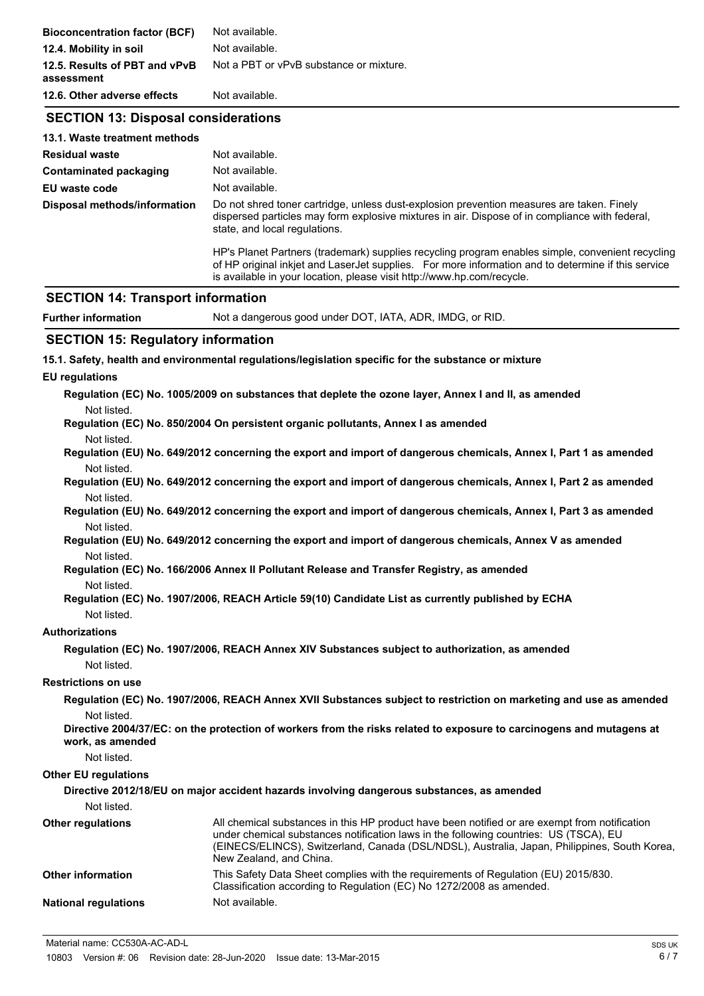| <b>Bioconcentration factor (BCF)</b>        | Not available.                                                                                                                                                                                                                                                                   |  |  |
|---------------------------------------------|----------------------------------------------------------------------------------------------------------------------------------------------------------------------------------------------------------------------------------------------------------------------------------|--|--|
| 12.4. Mobility in soil                      | Not available.                                                                                                                                                                                                                                                                   |  |  |
| 12.5. Results of PBT and vPvB<br>assessment | Not a PBT or vPvB substance or mixture.                                                                                                                                                                                                                                          |  |  |
| 12.6. Other adverse effects                 | Not available.                                                                                                                                                                                                                                                                   |  |  |
| <b>SECTION 13: Disposal considerations</b>  |                                                                                                                                                                                                                                                                                  |  |  |
| 13.1. Waste treatment methods               |                                                                                                                                                                                                                                                                                  |  |  |
| <b>Residual waste</b>                       | Not available.                                                                                                                                                                                                                                                                   |  |  |
| <b>Contaminated packaging</b>               | Not available.                                                                                                                                                                                                                                                                   |  |  |
| EU waste code                               | Not available.                                                                                                                                                                                                                                                                   |  |  |
| Disposal methods/information                | Do not shred toner cartridge, unless dust-explosion prevention measures are taken. Finely<br>dispersed particles may form explosive mixtures in air. Dispose of in compliance with federal,<br>state, and local regulations.                                                     |  |  |
|                                             | HP's Planet Partners (trademark) supplies recycling program enables simple, convenient recycling<br>of HP original inkjet and LaserJet supplies. For more information and to determine if this service<br>is available in your location, please visit http://www.hp.com/recycle. |  |  |
| <b>SECTION 14: Transport information</b>    |                                                                                                                                                                                                                                                                                  |  |  |
| <b>Further information</b>                  | Not a dangerous good under DOT, IATA, ADR, IMDG, or RID.                                                                                                                                                                                                                         |  |  |
| <b>SECTION 15: Regulatory information</b>   |                                                                                                                                                                                                                                                                                  |  |  |
|                                             | 15.1. Safety, health and environmental regulations/legislation specific for the substance or mixture                                                                                                                                                                             |  |  |
| <b>EU</b> regulations                       |                                                                                                                                                                                                                                                                                  |  |  |
|                                             | Regulation (EC) No. 1005/2009 on substances that deplete the ozone layer, Annex I and II, as amended                                                                                                                                                                             |  |  |
| Not listed.                                 |                                                                                                                                                                                                                                                                                  |  |  |
|                                             | Regulation (EC) No. 850/2004 On persistent organic pollutants, Annex I as amended                                                                                                                                                                                                |  |  |
| Not listed.                                 |                                                                                                                                                                                                                                                                                  |  |  |
|                                             | Regulation (EU) No. 649/2012 concerning the export and import of dangerous chemicals, Annex I, Part 1 as amended                                                                                                                                                                 |  |  |
| Not listed.                                 |                                                                                                                                                                                                                                                                                  |  |  |
| Not listed.                                 | Regulation (EU) No. 649/2012 concerning the export and import of dangerous chemicals, Annex I, Part 2 as amended                                                                                                                                                                 |  |  |
|                                             | Regulation (EU) No. 649/2012 concerning the export and import of dangerous chemicals, Annex I, Part 3 as amended                                                                                                                                                                 |  |  |
| Not listed.                                 |                                                                                                                                                                                                                                                                                  |  |  |
| Not listed.                                 | Regulation (EU) No. 649/2012 concerning the export and import of dangerous chemicals, Annex V as amended                                                                                                                                                                         |  |  |

- **Regulation (EC) No. 166/2006 Annex II Pollutant Release and Transfer Registry, as amended** Not listed.
- **Regulation (EC) No. 1907/2006, REACH Article 59(10) Candidate List as currently published by ECHA** Not listed.

#### **Authorizations**

**Regulation (EC) No. 1907/2006, REACH Annex XIV Substances subject to authorization, as amended** Not listed.

### **Restrictions on use**

**Regulation (EC) No. 1907/2006, REACH Annex XVII Substances subject to restriction on marketing and use as amended** Not listed.

**Directive 2004/37/EC: on the protection of workers from the risks related to exposure to carcinogens and mutagens at work, as amended**

Not listed.

#### **Other EU regulations**

|                             | Directive 2012/18/EU on major accident hazards involving dangerous substances, as amended                                                                                                                                                                                                                         |
|-----------------------------|-------------------------------------------------------------------------------------------------------------------------------------------------------------------------------------------------------------------------------------------------------------------------------------------------------------------|
| Not listed.                 |                                                                                                                                                                                                                                                                                                                   |
| <b>Other regulations</b>    | All chemical substances in this HP product have been notified or are exempt from notification<br>under chemical substances notification laws in the following countries: US (TSCA), EU<br>(EINECS/ELINCS), Switzerland, Canada (DSL/NDSL), Australia, Japan, Philippines, South Korea,<br>New Zealand, and China. |
| <b>Other information</b>    | This Safety Data Sheet complies with the requirements of Regulation (EU) 2015/830.<br>Classification according to Regulation (EC) No 1272/2008 as amended.                                                                                                                                                        |
| <b>National regulations</b> | Not available.                                                                                                                                                                                                                                                                                                    |